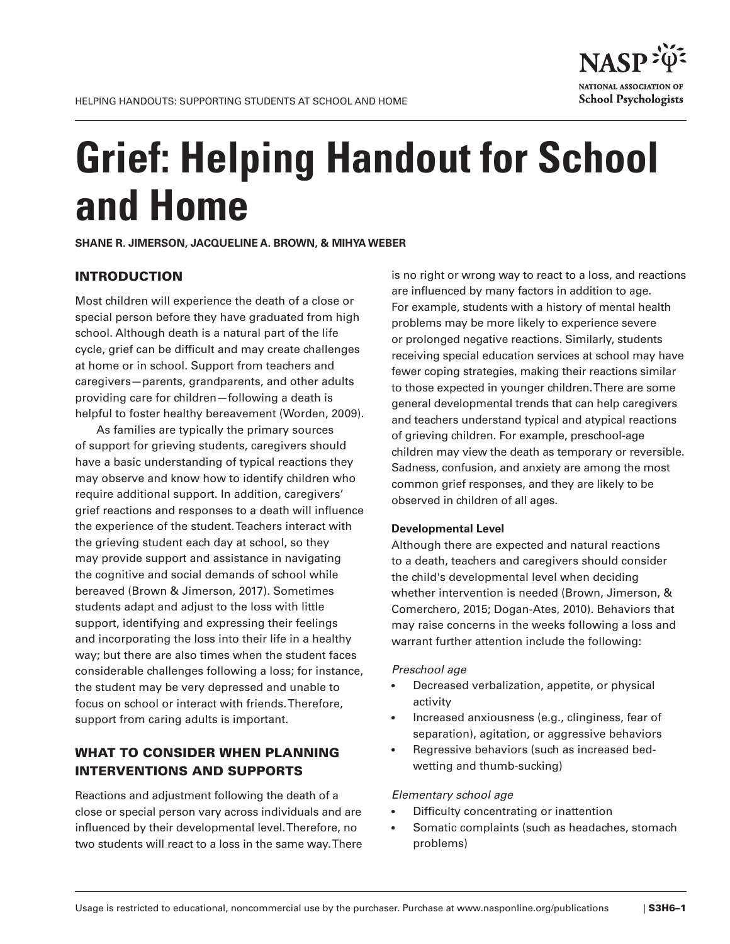

# **Grief: Helping Handout for School and Home**

**SHANE R. JIMERSON, JACQUELINE A. BROWN, & MIHYA WEBER** 

# INTRODUCTION

Most children will experience the death of a close or special person before they have graduated from high school. Although death is a natural part of the life cycle, grief can be difficult and may create challenges at home or in school. Support from teachers and caregivers—parents, grandparents, and other adults providing care for children—following a death is helpful to foster healthy bereavement (Worden, 2009).

As families are typically the primary sources of support for grieving students, caregivers should have a basic understanding of typical reactions they may observe and know how to identify children who require additional support. In addition, caregivers' grief reactions and responses to a death will infuence the experience of the student. Teachers interact with the grieving student each day at school, so they may provide support and assistance in navigating the cognitive and social demands of school while bereaved (Brown & Jimerson, 2017). Sometimes students adapt and adjust to the loss with little support, identifying and expressing their feelings and incorporating the loss into their life in a healthy way; but there are also times when the student faces considerable challenges following a loss; for instance, the student may be very depressed and unable to focus on school or interact with friends. Therefore, support from caring adults is important.

# WHAT TO CONSIDER WHEN PLANNING INTERVENTIONS AND SUPPORTS

Reactions and adjustment following the death of a close or special person vary across individuals and are infuenced by their developmental level. Therefore, no two students will react to a loss in the same way. There is no right or wrong way to react to a loss, and reactions are infuenced by many factors in addition to age. For example, students with a history of mental health problems may be more likely to experience severe or prolonged negative reactions. Similarly, students receiving special education services at school may have fewer coping strategies, making their reactions similar to those expected in younger children. There are some general developmental trends that can help caregivers and teachers understand typical and atypical reactions of grieving children. For example, preschool-age children may view the death as temporary or reversible. Sadness, confusion, and anxiety are among the most common grief responses, and they are likely to be observed in children of all ages.

#### **Developmental Level**

Although there are expected and natural reactions to a death, teachers and caregivers should consider the child's developmental level when deciding whether intervention is needed (Brown, Jimerson, & Comerchero, 2015; Dogan-Ates, 2010). Behaviors that may raise concerns in the weeks following a loss and warrant further attention include the following:

#### *Preschool age*

- Decreased verbalization, appetite, or physical activity
- Increased anxiousness (e.g., clinginess, fear of separation), agitation, or aggressive behaviors
- Regressive behaviors (such as increased bedwetting and thumb-sucking)

#### *Elementary school age*

- Difficulty concentrating or inattention
- Somatic complaints (such as headaches, stomach problems)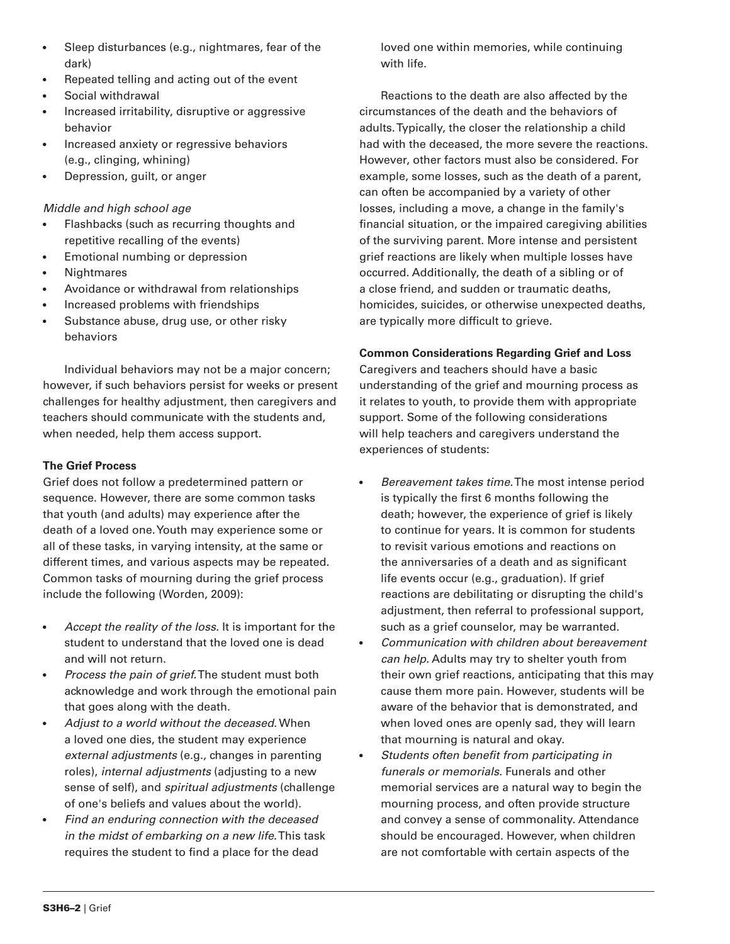- Sleep disturbances (e.g., nightmares, fear of the dark)
- Repeated telling and acting out of the event
- Social withdrawal
- Increased irritability, disruptive or aggressive behavior
- Increased anxiety or regressive behaviors (e.g., clinging, whining)
- Depression, guilt, or anger

# *Middle and high school age*

- Flashbacks (such as recurring thoughts and repetitive recalling of the events)
- Emotional numbing or depression
- Nightmares
- Avoidance or withdrawal from relationships
- Increased problems with friendships
- Substance abuse, drug use, or other risky behaviors

Individual behaviors may not be a major concern; however, if such behaviors persist for weeks or present challenges for healthy adjustment, then caregivers and teachers should communicate with the students and, when needed, help them access support.

# **The Grief Process**

Grief does not follow a predetermined pattern or sequence. However, there are some common tasks that youth (and adults) may experience after the death of a loved one. Youth may experience some or all of these tasks, in varying intensity, at the same or different times, and various aspects may be repeated. Common tasks of mourning during the grief process include the following (Worden, 2009):

- *Accept the reality of the loss.* It is important for the student to understand that the loved one is dead and will not return.
- *Process the pain of grief.*The student must both acknowledge and work through the emotional pain that goes along with the death.
- *Adjust to a world without the deceased.* When a loved one dies, the student may experience *external adjustments* (e.g., changes in parenting roles), *internal adjustments* (adjusting to a new sense of self), and *spiritual adjustments* (challenge of one's beliefs and values about the world).
- *Find an enduring connection with the deceased in the midst of embarking on a new life*. This task requires the student to find a place for the dead

loved one within memories, while continuing with life.

Reactions to the death are also affected by the circumstances of the death and the behaviors of adults. Typically, the closer the relationship a child had with the deceased, the more severe the reactions. However, other factors must also be considered. For example, some losses, such as the death of a parent, can often be accompanied by a variety of other losses, including a move, a change in the family's fnancial situation, or the impaired caregiving abilities of the surviving parent. More intense and persistent grief reactions are likely when multiple losses have occurred. Additionally, the death of a sibling or of a close friend, and sudden or traumatic deaths, homicides, suicides, or otherwise unexpected deaths, are typically more difficult to grieve.

# **Common Considerations Regarding Grief and Loss**

Caregivers and teachers should have a basic understanding of the grief and mourning process as it relates to youth, to provide them with appropriate support. Some of the following considerations will help teachers and caregivers understand the experiences of students:

- *Bereavement takes time.*The most intense period is typically the first 6 months following the death; however, the experience of grief is likely to continue for years. It is common for students to revisit various emotions and reactions on the anniversaries of a death and as significant life events occur (e.g., graduation). If grief reactions are debilitating or disrupting the child's adjustment, then referral to professional support, such as a grief counselor, may be warranted.
- *Communication with children about bereavement can help.* Adults may try to shelter youth from their own grief reactions, anticipating that this may cause them more pain. However, students will be aware of the behavior that is demonstrated, and when loved ones are openly sad, they will learn that mourning is natural and okay.
- *Students often beneft from participating in funerals or memorials.* Funerals and other memorial services are a natural way to begin the mourning process, and often provide structure and convey a sense of commonality. Attendance should be encouraged. However, when children are not comfortable with certain aspects of the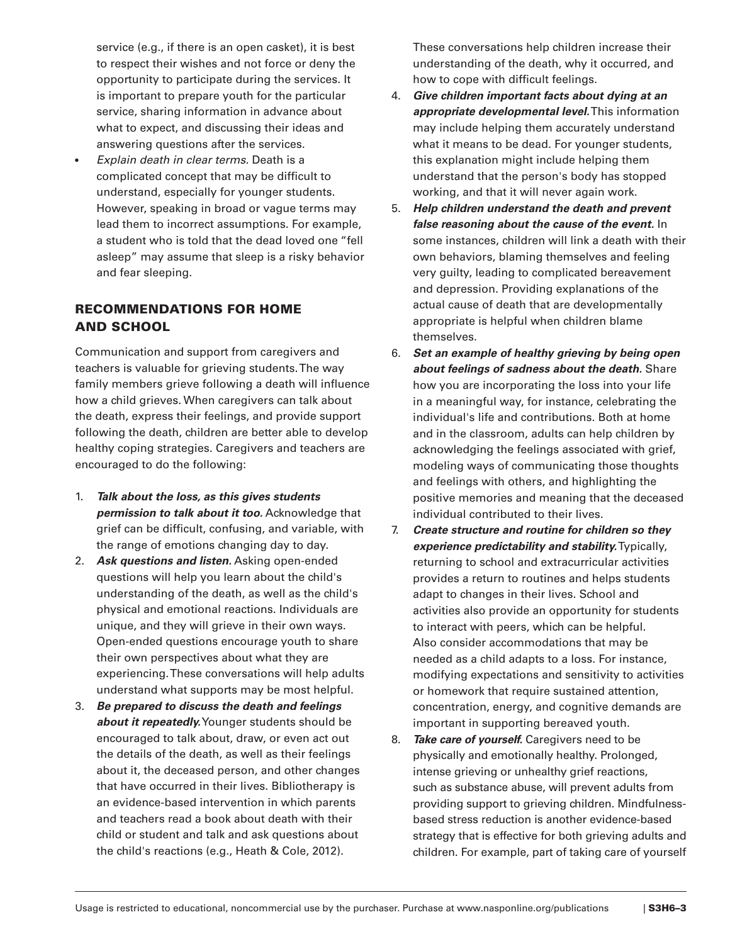service (e.g., if there is an open casket), it is best to respect their wishes and not force or deny the opportunity to participate during the services. It is important to prepare youth for the particular service, sharing information in advance about what to expect, and discussing their ideas and answering questions after the services.

• *Explain death in clear terms.* Death is a complicated concept that may be difficult to understand, especially for younger students. However, speaking in broad or vague terms may lead them to incorrect assumptions. For example, a student who is told that the dead loved one "fell asleep" may assume that sleep is a risky behavior and fear sleeping.

# RECOMMENDATIONS FOR HOME AND SCHOOL

Communication and support from caregivers and teachers is valuable for grieving students. The way family members grieve following a death will infuence how a child grieves. When caregivers can talk about the death, express their feelings, and provide support following the death, children are better able to develop healthy coping strategies. Caregivers and teachers are encouraged to do the following:

- 1. *Talk about the loss, as this gives students permission to talk about it too.* Acknowledge that grief can be difficult, confusing, and variable, with the range of emotions changing day to day.
- 2. *Ask questions and listen.* Asking open-ended questions will help you learn about the child's understanding of the death, as well as the child's physical and emotional reactions. Individuals are unique, and they will grieve in their own ways. Open-ended questions encourage youth to share their own perspectives about what they are experiencing. These conversations will help adults understand what supports may be most helpful.
- 3. *Be prepared to discuss the death and feelings about it repeatedly.*Younger students should be encouraged to talk about, draw, or even act out the details of the death, as well as their feelings about it, the deceased person, and other changes that have occurred in their lives. Bibliotherapy is an evidence-based intervention in which parents and teachers read a book about death with their child or student and talk and ask questions about the child's reactions (e.g., Heath & Cole, 2012).

These conversations help children increase their understanding of the death, why it occurred, and how to cope with difficult feelings.

- 4. *Give children important facts about dying at an appropriate developmental level.* This information may include helping them accurately understand what it means to be dead. For younger students, this explanation might include helping them understand that the person's body has stopped working, and that it will never again work.
- 5. *Help children understand the death and prevent false reasoning about the cause of the event.* In some instances, children will link a death with their own behaviors, blaming themselves and feeling very guilty, leading to complicated bereavement and depression. Providing explanations of the actual cause of death that are developmentally appropriate is helpful when children blame themselves.
- 6. *Set an example of healthy grieving by being open about feelings of sadness about the death.* Share how you are incorporating the loss into your life in a meaningful way, for instance, celebrating the individual's life and contributions. Both at home and in the classroom, adults can help children by acknowledging the feelings associated with grief, modeling ways of communicating those thoughts and feelings with others, and highlighting the positive memories and meaning that the deceased individual contributed to their lives.
- 7. *Create structure and routine for children so they experience predictability and stability.* Typically, returning to school and extracurricular activities provides a return to routines and helps students adapt to changes in their lives. School and activities also provide an opportunity for students to interact with peers, which can be helpful. Also consider accommodations that may be needed as a child adapts to a loss. For instance, modifying expectations and sensitivity to activities or homework that require sustained attention, concentration, energy, and cognitive demands are important in supporting bereaved youth.
- 8. *Take care of yourself.* Caregivers need to be physically and emotionally healthy. Prolonged, intense grieving or unhealthy grief reactions, such as substance abuse, will prevent adults from providing support to grieving children. Mindfulnessbased stress reduction is another evidence-based strategy that is effective for both grieving adults and children. For example, part of taking care of yourself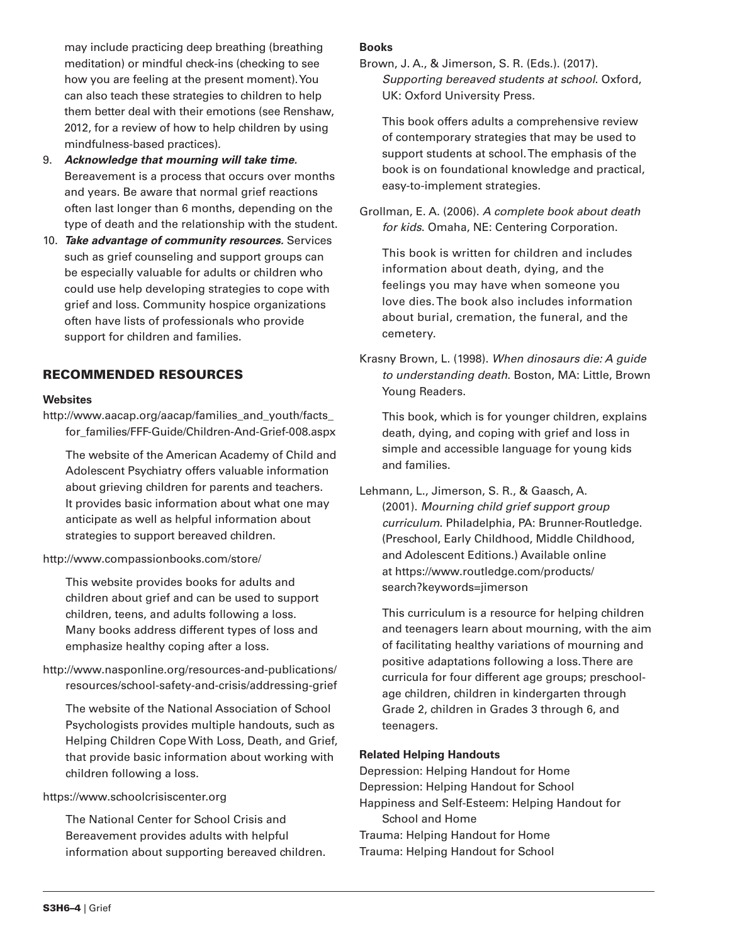may include practicing deep breathing (breathing meditation) or mindful check-ins (checking to see how you are feeling at the present moment). You can also teach these strategies to children to help them better deal with their emotions (see Renshaw, 2012, for a review of how to help children by using mindfulness-based practices).

- 9. *Acknowledge that mourning will take time.*  Bereavement is a process that occurs over months and years. Be aware that normal grief reactions often last longer than 6 months, depending on the type of death and the relationship with the student.
- 10. *Take advantage of community resources.* Services such as grief counseling and support groups can be especially valuable for adults or children who could use help developing strategies to cope with grief and loss. Community hospice organizations often have lists of professionals who provide support for children and families.

# RECOMMENDED RESOURCES

#### **Websites**

[http://www.aacap.org/aacap/families\\_and\\_youth/facts](http://www.aacap.org/aacap/families_and_youth/facts)\_ for\_families/FFF-Guide/Children-And-Grief-008.aspx

The website of the American Academy of Child and Adolescent Psychiatry offers valuable information about grieving children for parents and teachers. It provides basic information about what one may anticipate as well as helpful information about strategies to support bereaved children.

# [http://www.compassionbooks.com/store/](http://www.compassionbooks.com/store)

This website provides books for adults and children about grief and can be used to support children, teens, and adults following a loss. Many books address different types of loss and emphasize healthy coping after a loss.

[http://www.nasponline.org/resources-and-publications/](http://www.nasponline.org/resources-and-publications) resources/school-safety-and-crisis/addressing-grief

The website of the National Association of School Psychologists provides multiple handouts, such as Helping Children Cope With Loss, Death, and Grief, that provide basic information about working with children following a loss.

# <https://www.schoolcrisiscenter.org>

The National Center for School Crisis and Bereavement provides adults with helpful information about supporting bereaved children.

## **Books**

Brown, J. A., & Jimerson, S. R. (Eds.). (2017). *Supporting bereaved students at school*. Oxford, UK: Oxford University Press.

This book offers adults a comprehensive review of contemporary strategies that may be used to support students at school. The emphasis of the book is on foundational knowledge and practical, easy-to-implement strategies.

Grollman, E. A. (2006). *A complete book about death for kids*. Omaha, NE: Centering Corporation.

This book is written for children and includes information about death, dying, and the feelings you may have when someone you love dies. The book also includes information about burial, cremation, the funeral, and the cemetery.

Krasny Brown, L. (1998). *When dinosaurs die: A guide to understanding death*. Boston, MA: Little, Brown Young Readers.

This book, which is for younger children, explains death, dying, and coping with grief and loss in simple and accessible language for young kids and families.

Lehmann, L., Jimerson, S. R., & Gaasch, A. (2001). *Mourning child grief support group curriculum*. Philadelphia, PA: Brunner-Routledge. (Preschool, Early Childhood, Middle Childhood, and Adolescent Editions.) Available online at [https://www.routledge.com/products/](https://www.routledge.com/products) search?keywords=jimerson

This curriculum is a resource for helping children and teenagers learn about mourning, with the aim of facilitating healthy variations of mourning and positive adaptations following a loss. There are curricula for four different age groups; preschoolage children, children in kindergarten through Grade 2, children in Grades 3 through 6, and teenagers.

# **Related Helping Handouts**

Depression: Helping Handout for Home Depression: Helping Handout for School Happiness and Self-Esteem: Helping Handout for School and Home Trauma: Helping Handout for Home Trauma: Helping Handout for School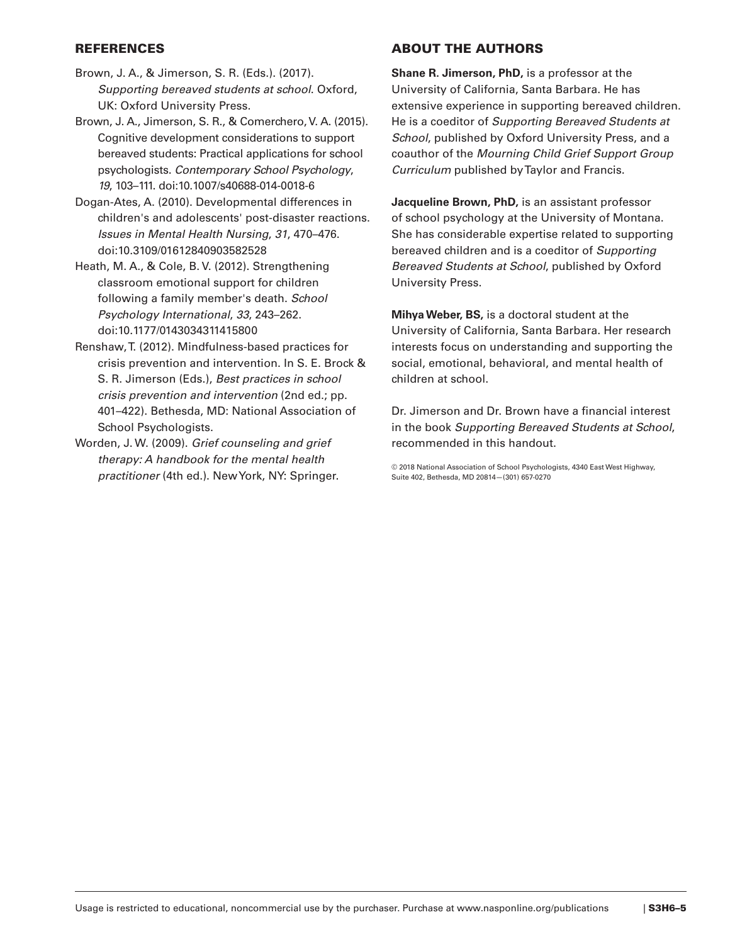# REFERENCES

- Brown, J. A., & Jimerson, S. R. (Eds.). (2017). *Supporting bereaved students at school*. Oxford, UK: Oxford University Press.
- Brown, J. A., Jimerson, S. R., & Comerchero, V. A. (2015). Cognitive development considerations to support bereaved students: Practical applications for school psychologists. *Contemporary School Psychology*, *19*, 103–111. doi:10.1007/s40688-014-0018-6
- Dogan-Ates, A. (2010). Developmental differences in children's and adolescents' post-disaster reactions. *Issues in Mental Health Nursing*, *31*, 470–476. doi:10.3109/01612840903582528
- Heath, M. A., & Cole, B. V. (2012). Strengthening classroom emotional support for children following a family member's death. *School Psychology International*, *33*, 243–262. doi:10.1177/0143034311415800
- Renshaw, T. (2012). Mindfulness-based practices for crisis prevention and intervention. In S. E. Brock & S. R. Jimerson (Eds.), *Best practices in school crisis prevention and intervention* (2nd ed.; pp. 401–422). Bethesda, MD: National Association of School Psychologists.
- Worden, J. W. (2009). *Grief counseling and grief therapy: A handbook for the mental health practitioner* (4th ed.). New York, NY: Springer.

# ABOUT THE AUTHORS

**Shane R. Jimerson, PhD,** is a professor at the University of California, Santa Barbara. He has extensive experience in supporting bereaved children. He is a coeditor of *Supporting Bereaved Students at School*, published by Oxford University Press, and a coauthor of the *Mourning Child Grief Support Group Curriculum* published by Taylor and Francis.

**Jacqueline Brown, PhD,** is an assistant professor of school psychology at the University of Montana. She has considerable expertise related to supporting bereaved children and is a coeditor of *Supporting Bereaved Students at School*, published by Oxford University Press.

**Mihya Weber, BS,** is a doctoral student at the University of California, Santa Barbara. Her research interests focus on understanding and supporting the social, emotional, behavioral, and mental health of children at school.

Dr. Jimerson and Dr. Brown have a fnancial interest in the book *Supporting Bereaved Students at School*, recommended in this handout.

© 2018 National Association of School Psychologists, 4340 East West Highway, Suite 402, Bethesda, MD 20814—(301) 657-0270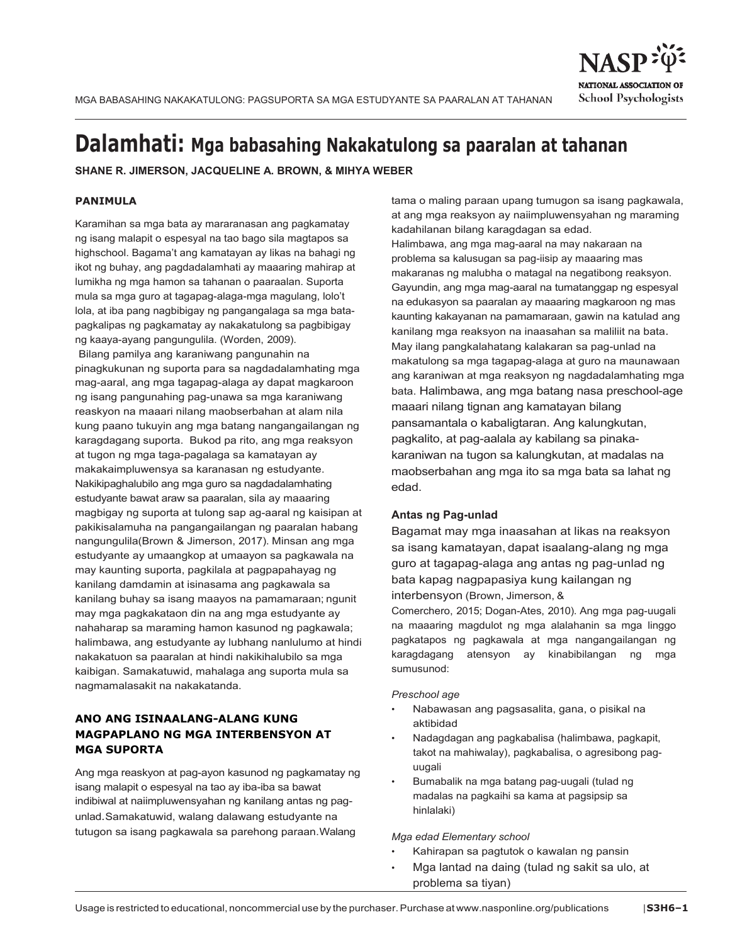



# **Dalamhati: Mga babasahing Nakakatulong sa paaralan at tahanan**

**SHANE R. JIMERSON, JACQUELINE A. BROWN, & MIHYA WEBER**

## **PANIMULA**

Karamihan sa mga bata ay mararanasan ang pagkamatay ng isang malapit o espesyal na tao bago sila magtapos sa highschool. Bagama't ang kamatayan ay likas na bahagi ng ikot ng buhay, ang pagdadalamhati ay maaaring mahirap at lumikha ng mga hamon sa tahanan o paaraalan. Suporta mula sa mga guro at tagapag-alaga-mga magulang, lolo't lola, at iba pang nagbibigay ng pangangalaga sa mga batapagkalipas ng pagkamatay ay nakakatulong sa pagbibigay ng kaaya-ayang pangungulila. (Worden, 2009).

Bilang pamilya ang karaniwang pangunahin na pinagkukunan ng suporta para sa nagdadalamhating mga mag-aaral, ang mga tagapag-alaga ay dapat magkaroon ng isang pangunahing pag-unawa sa mga karaniwang reaskyon na maaari nilang maobserbahan at alam nila kung paano tukuyin ang mga batang nangangailangan ng karagdagang suporta. Bukod pa rito, ang mga reaksyon at tugon ng mga taga-pagalaga sa kamatayan ay makakaimpluwensya sa karanasan ng estudyante. Nakikipaghalubilo ang mga guro sa nagdadalamhating estudyante bawat araw sa paaralan, sila ay maaaring magbigay ng suporta at tulong sap ag-aaral ng kaisipan at pakikisalamuha na pangangailangan ng paaralan habang nangungulila(Brown & Jimerson, 2017). Minsan ang mga estudyante ay umaangkop at umaayon sa pagkawala na may kaunting suporta, pagkilala at pagpapahayag ng kanilang damdamin at isinasama ang pagkawala sa kanilang buhay sa isang maayos na pamamaraan; ngunit may mga pagkakataon din na ang mga estudyante ay nahaharap sa maraming hamon kasunod ng pagkawala; halimbawa, ang estudyante ay lubhang nanlulumo at hindi nakakatuon sa paaralan at hindi nakikihalubilo sa mga kaibigan. Samakatuwid, mahalaga ang suporta mula sa nagmamalasakit na nakakatanda.

# **ANO ANG ISINAALANG-ALANG KUNG MAGPAPLANO NG MGA INTERBENSYON AT MGA SUPORTA**

Ang mga reaskyon at pag-ayon kasunod ng pagkamatay ng isang malapit o espesyal na tao ay iba-iba sa bawat indibiwal at naiimpluwensyahan ng kanilang antas ng pagunlad. Samakatuwid, walang dalawang estudyante na tutugon sa isang pagkawala sa parehong paraan.Walang

tama o maling paraan upang tumugon sa isang pagkawala, at ang mga reaksyon ay naiimpluwensyahan ng maraming kadahilanan bilang karagdagan sa edad. Halimbawa, ang mga mag-aaral na may nakaraan na problema sa kalusugan sa pag-iisip ay maaaring mas makaranas ng malubha o matagal na negatibong reaksyon. Gayundin, ang mga mag-aaral na tumatanggap ng espesyal na edukasyon sa paaralan ay maaaring magkaroon ng mas kaunting kakayanan na pamamaraan, gawin na katulad ang kanilang mga reaksyon na inaasahan sa maliliit na bata. May ilang pangkalahatang kalakaran sa pag-unlad na makatulong sa mga tagapag-alaga at guro na maunawaan ang karaniwan at mga reaksyon ng nagdadalamhating mga bata. Halimbawa, ang mga batang nasa preschool-age maaari nilang tignan ang kamatayan bilang pansamantala o kabaligtaran. Ang kalungkutan, pagkalito, at pag-aalala ay kabilang sa pinakakaraniwan na tugon sa kalungkutan, at madalas na maobserbahan ang mga ito sa mga bata sa lahat ng edad.

# **Antas ng Pag-unlad**

Bagamat may mga inaasahan at likas na reaksyon sa isang kamatayan, dapat isaalang-alang ng mga guro at tagapag-alaga ang antas ng pag-unlad ng bata kapag nagpapasiya kung kailangan ng interbensyon (Brown, Jimerson, &

Comerchero, 2015; Dogan-Ates, 2010). Ang mga pag-uugali na maaaring magdulot ng mga alalahanin sa mga linggo pagkatapos ng pagkawala at mga nangangailangan ng karagdagang atensyon ay kinabibilangan ng mga sumusunod:

#### *Preschool age*

- Nabawasan ang pagsasalita, gana, o pisikal na aktibidad
- Nadagdagan ang pagkabalisa (halimbawa, pagkapit, takot na mahiwalay), pagkabalisa, o agresibong paguugali
- Bumabalik na mga batang pag-uugali (tulad ng madalas na pagkaihi sa kama at pagsipsip sa hinlalaki)

#### *Mga edad Elementary school*

- Kahirapan sa pagtutok o kawalan ng pansin
- Mga lantad na daing (tulad ng sakit sa ulo, at problema sa tiyan)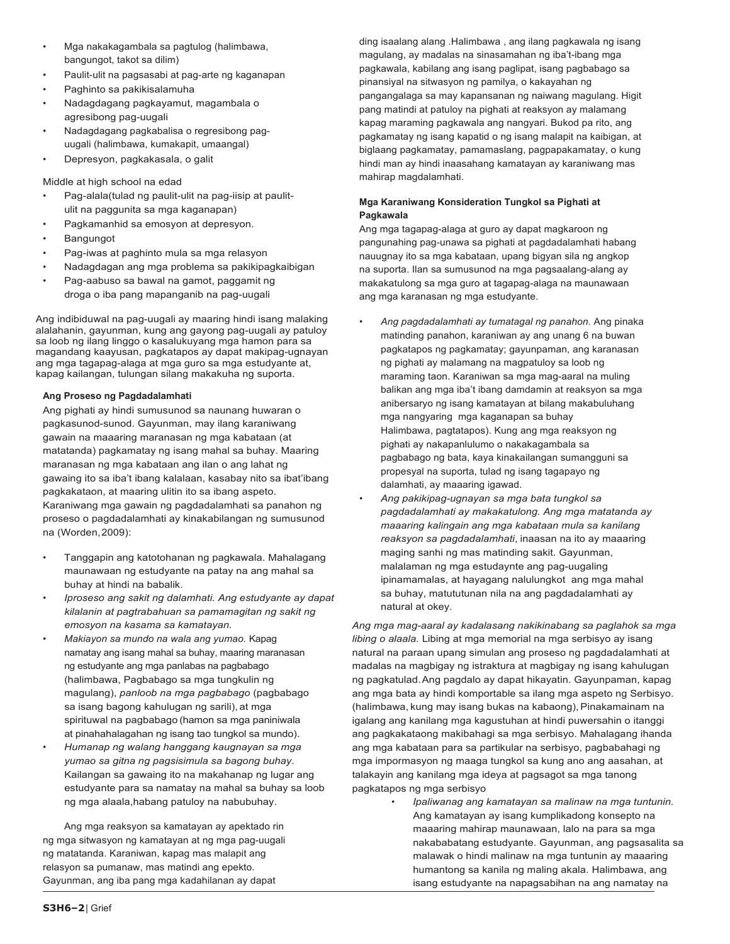- Mga nakakagambala sa pagtulog (halimbawa, bangungot, takot sa dilim)
- Paulit-ulit na pagsasabi at pag-arte ng kaganapan
- Paghinto sa pakikisalamuha
- Nadagdagang pagkayamut, magambala o agresibong pag-uugali
- Nadagdagang pagkabalisa o regresibong paguugali (halimbawa, kumakapit, umaangal)
- Depresyon, pagkakasala, o galit

Middle at high school na edad

- Pag-alala(tulad ng paulit-ulit na pag-iisip at paulitulit na paggunita sa mga kaganapan)
- Pagkamanhid sa emosyon at depresyon.
- **Bangungot**
- Pag-iwas at paghinto mula sa mga relasyon
- Nadagdagan ang mga problema sa pakikipagkaibigan
- Pag-aabuso sa bawal na gamot, paggamit ng droga o iba pang mapanganib na pag-uugali

Ang indibiduwal na pag-uugali ay maaring hindi isang malaking alalahanin, gayunman, kung ang gayong pag-uugali ay patuloy sa loob ng ilang linggo o kasalukuyang mga hamon para sa magandang kaayusan, pagkatapos ay dapat makipag-ugnayan ang mga tagapag-alaga at mga guro sa mga estudyante at, kapag kailangan, tulungan silang makakuha ng suporta.

# **Ang Proseso ng Pagdadalamhati**

Ang pighati ay hindi sumusunod sa naunang huwaran o pagkasunod-sunod. Gayunman, may ilang karaniwang gawain na maaaring maranasan ng mga kabataan (at matatanda) pagkamatay ng isang mahal sa buhay. Maaring maranasan ng mga kabataan ang ilan o ang lahat ng gawaing ito sa iba't ibang kalalaan, kasabay nito sa ibat'ibang pagkakataon, at maaring ulitin ito sa ibang aspeto. Karaniwang mga gawain ng pagdadalamhati sa panahon ng proseso o pagdadalamhati ay kinakabilangan ng sumusunod na (Worden,2009):

- Tanggapin ang katotohanan ng pagkawala. Mahalagang maunawaan ng estudyante na patay na ang mahal sa buhay at hindi na babalik.
- *Iproseso ang sakit ng dalamhati. Ang estudyante ay dapat kilalanin at pagtrabahuan sa pamamagitan ng sakit ng emosyon na kasama sa kamatayan.*
- *Makiayon sa mundo na wala ang yumao.* Kapag namatay ang isang mahal sa buhay, maaring maranasan ng estudyante ang mga panlabas na pagbabago (halimbawa, Pagbabago sa mga tungkulin ng magulang), *panloob na mga pagbabago* (pagbabago sa isang bagong kahulugan ng sarili), at mga spirituwal na pagbabago (hamon sa mga paniniwala at pinahahalagahan ng isang tao tungkol sa mundo).
- *Humanap ng walang hanggang kaugnayan sa mga yumao sa gitna ng pagsisimula sa bagong buhay*. Kailangan sa gawaing ito na makahanap ng lugar ang estudyante para sa namatay na mahal sa buhay sa loob ng mga alaala,habang patuloy na nabubuhay.

Ang mga reaksyon sa kamatayan ay apektado rin ng mga sitwasyon ng kamatayan at ng mga pag-uugali ng matatanda. Karaniwan, kapag mas malapit ang relasyon sa pumanaw, mas matindi ang epekto. Gayunman, ang iba pang mga kadahilanan ay dapat

ding isaalang alang .Halimbawa , ang ilang pagkawala ng isang magulang, ay madalas na sinasamahan ng iba't-ibang mga pagkawala, kabilang ang isang paglipat, isang pagbabago sa pinansiyal na sitwasyon ng pamilya, o kakayahan ng pangangalaga sa may kapansanan ng naiwang magulang. Higit pang matindi at patuloy na pighati at reaksyon ay malamang kapag maraming pagkawala ang nangyari. Bukod pa rito, ang pagkamatay ng isang kapatid o ng isang malapit na kaibigan, at biglaang pagkamatay, pamamaslang, pagpapakamatay, o kung hindi man ay hindi inaasahang kamatayan ay karaniwang mas mahirap magdalamhati.

## **Mga Karaniwang Konsideration Tungkol sa Pighati at Pagkawala**

Ang mga tagapag-alaga at guro ay dapat magkaroon ng pangunahing pag-unawa sa pighati at pagdadalamhati habang nauugnay ito sa mga kabataan, upang bigyan sila ng angkop na suporta. Ilan sa sumusunod na mga pagsaalang-alang ay makakatulong sa mga guro at tagapag-alaga na maunawaan ang mga karanasan ng mga estudyante.

- *Ang pagdadalamhati ay tumatagal ng panahon.* Ang pinaka matinding panahon, karaniwan ay ang unang 6 na buwan pagkatapos ng pagkamatay; gayunpaman, ang karanasan ng pighati ay malamang na magpatuloy sa loob ng maraming taon. Karaniwan sa mga mag-aaral na muling balikan ang mga iba't ibang damdamin at reaksyon sa mga anibersaryo ng isang kamatayan at bilang makabuluhang mga nangyaring mga kaganapan sa buhay Halimbawa, pagtatapos). Kung ang mga reaksyon ng pighati ay nakapanlulumo o nakakagambala sa pagbabago ng bata, kaya kinakailangan sumangguni sa propesyal na suporta, tulad ng isang tagapayo ng dalamhati, ay maaaring igawad.
- *Ang pakikipag-ugnayan sa mga bata tungkol sa pagdadalamhati ay makakatulong. Ang mga matatanda ay maaaring kalingain ang mga kabataan mula sa kanilang reaksyon sa pagdadalamhati*, inaasan na ito ay maaaring maging sanhi ng mas matinding sakit. Gayunman, malalaman ng mga estudaynte ang pag-uugaling ipinamamalas, at hayagang nalulungkot ang mga mahal sa buhay, matututunan nila na ang pagdadalamhati ay natural at okey.

*Ang mga mag-aaral ay kadalasang nakikinabang sa paglahok sa mga libing o alaala.* Libing at mga memorial na mga serbisyo ay isang natural na paraan upang simulan ang proseso ng pagdadalamhati at madalas na magbigay ng istraktura at magbigay ng isang kahulugan ng pagkatulad.Ang pagdalo ay dapat hikayatin. Gayunpaman, kapag ang mga bata ay hindi komportable sa ilang mga aspeto ng Serbisyo. (halimbawa, kung may isang bukas na kabaong), Pinakamainam na igalang ang kanilang mga kagustuhan at hindi puwersahin o itanggi ang pagkakataong makibahagi sa mga serbisyo. Mahalagang ihanda ang mga kabataan para sa partikular na serbisyo, pagbabahagi ng mga impormasyon ng maaga tungkol sa kung ano ang aasahan, at talakayin ang kanilang mga ideya at pagsagot sa mga tanong pagkatapos ng mga serbisyo

• *Ipaliwanag ang kamatayan sa malinaw na mga tuntunin.*  Ang kamatayan ay isang kumplikadong konsepto na maaaring mahirap maunawaan, lalo na para sa mga nakababatang estudyante. Gayunman, ang pagsasalita sa malawak o hindi malinaw na mga tuntunin ay maaaring humantong sa kanila ng maling akala. Halimbawa, ang isang estudyante na napagsabihan na ang namatay na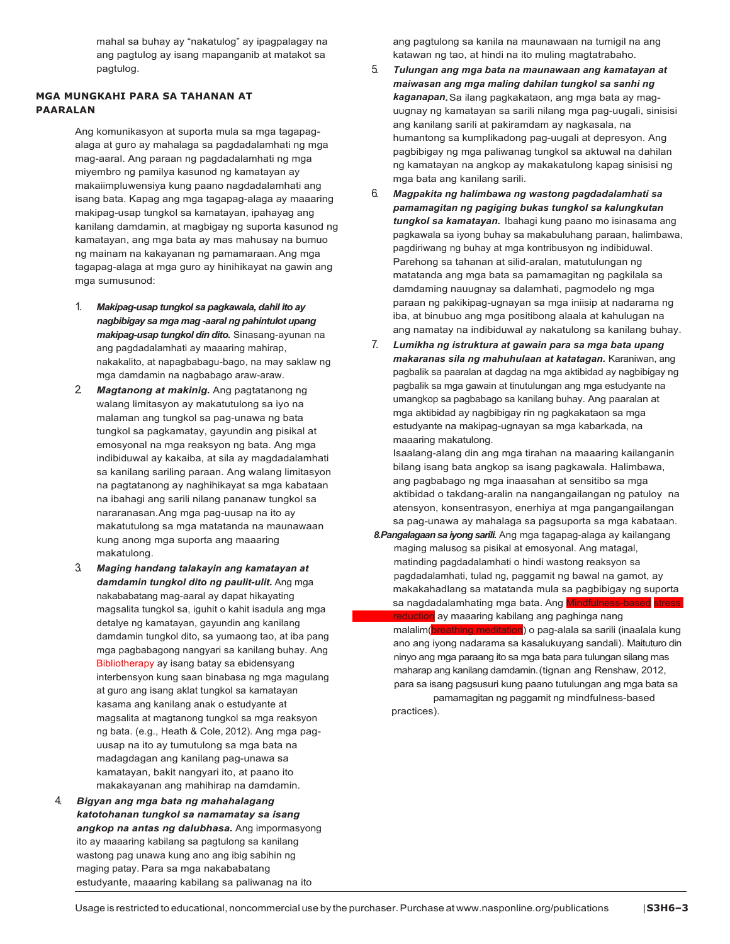mahal sa buhay ay "nakatulog" ay ipagpalagay na ang pagtulog ay isang mapanganib at matakot sa pagtulog.

#### **MGA MUNGKAHI PARA SA TAHANAN AT PAARALAN**

Ang komunikasyon at suporta mula sa mga tagapagalaga at guro ay mahalaga sa pagdadalamhati ng mga mag-aaral. Ang paraan ng pagdadalamhati ng mga miyembro ng pamilya kasunod ng kamatayan ay makaiimpluwensiya kung paano nagdadalamhati ang isang bata. Kapag ang mga tagapag-alaga ay maaaring makipag-usap tungkol sa kamatayan, ipahayag ang kanilang damdamin, at magbigay ng suporta kasunod ng kamatayan, ang mga bata ay mas mahusay na bumuo ng mainam na kakayanan ng pamamaraan.Ang mga tagapag-alaga at mga guro ay hinihikayat na gawin ang mga sumusunod:

- 1. *Makipag-usap tungkol sa pagkawala, dahil ito ay nagbibigay sa mga mag -aaral ng pahintulot upang makipag-usap tungkol din dito.* Sinasang-ayunan na ang pagdadalamhati ay maaaring mahirap, nakakalito, at napagbabagu-bago, na may saklaw ng mga damdamin na nagbabago araw-araw.
- 2. *Magtanong at makinig.* Ang pagtatanong ng walang limitasyon ay makatutulong sa iyo na malaman ang tungkol sa pag-unawa ng bata tungkol sa pagkamatay, gayundin ang pisikal at emosyonal na mga reaksyon ng bata. Ang mga indibiduwal ay kakaiba, at sila ay magdadalamhati sa kanilang sariling paraan. Ang walang limitasyon na pagtatanong ay naghihikayat sa mga kabataan na ibahagi ang sarili nilang pananaw tungkol sa nararanasan. Ang mga pag-uusap na ito ay makatutulong sa mga matatanda na maunawaan kung anong mga suporta ang maaaring makatulong.
- 3. *Maging handang talakayin ang kamatayan at damdamin tungkol dito ng paulit-ulit.* Ang mga nakababatang mag-aaral ay dapat hikayating magsalita tungkol sa, iguhit o kahit isadula ang mga detalye ng kamatayan, gayundin ang kanilang damdamin tungkol dito, sa yumaong tao, at iba pang mga pagbabagong nangyari sa kanilang buhay. Ang Bibliotherapy ay isang batay sa ebidensyang interbensyon kung saan binabasa ng mga magulang at guro ang isang aklat tungkol sa kamatayan kasama ang kanilang anak o estudyante at magsalita at magtanong tungkol sa mga reaksyon ng bata. (e.g., Heath & Cole, 2012). Ang mga paguusap na ito ay tumutulong sa mga bata na madagdagan ang kanilang pag-unawa sa kamatayan, bakit nangyari ito, at paano ito makakayanan ang mahihirap na damdamin.
- 4. *Bigyan ang mga bata ng mahahalagang katotohanan tungkol sa namamatay sa isang angkop na antas ng dalubhasa.* Ang impormasyong ito ay maaaring kabilang sa pagtulong sa kanilang wastong pag unawa kung ano ang ibig sabihin ng maging patay. Para sa mga nakababatang estudyante, maaaring kabilang sa paliwanag na ito

ang pagtulong sa kanila na maunawaan na tumigil na ang katawan ng tao, at hindi na ito muling magtatrabaho.

- 5. *Tulungan ang mga bata na maunawaan ang kamatayan at maiwasan ang mga maling dahilan tungkol sa sanhi ng kaganapan.* Sa ilang pagkakataon, ang mga bata ay maguugnay ng kamatayan sa sarili nilang mga pag-uugali, sinisisi ang kanilang sarili at pakiramdam ay nagkasala, na humantong sa kumplikadong pag-uugali at depresyon. Ang pagbibigay ng mga paliwanag tungkol sa aktuwal na dahilan ng kamatayan na angkop ay makakatulong kapag sinisisi ng mga bata ang kanilang sarili.
- 6. *Magpakita ng halimbawa ng wastong pagdadalamhati sa pamamagitan ng pagiging bukas tungkol sa kalungkutan tungkol sa kamatayan.* Ibahagi kung paano mo isinasama ang pagkawala sa iyong buhay sa makabuluhang paraan, halimbawa, pagdiriwang ng buhay at mga kontribusyon ng indibiduwal. Parehong sa tahanan at silid-aralan, matutulungan ng matatanda ang mga bata sa pamamagitan ng pagkilala sa damdaming nauugnay sa dalamhati, pagmodelo ng mga paraan ng pakikipag-ugnayan sa mga iniisip at nadarama ng iba, at binubuo ang mga positibong alaala at kahulugan na ang namatay na indibiduwal ay nakatulong sa kanilang buhay.
- 7. *Lumikha ng istruktura at gawain para sa mga bata upang makaranas sila ng mahuhulaan at katatagan.* Karaniwan, ang pagbalik sa paaralan at dagdag na mga aktibidad ay nagbibigay ng pagbalik sa mga gawain at tinutulungan ang mga estudyante na umangkop sa pagbabago sa kanilang buhay. Ang paaralan at mga aktibidad ay nagbibigay rin ng pagkakataon sa mga estudyante na makipag-ugnayan sa mga kabarkada, na maaaring makatulong.

Isaalang-alang din ang mga tirahan na maaaring kailanganin bilang isang bata angkop sa isang pagkawala. Halimbawa, ang pagbabago ng mga inaasahan at sensitibo sa mga aktibidad o takdang-aralin na nangangailangan ng patuloy na atensyon, konsentrasyon, enerhiya at mga pangangailangan sa pag-unawa ay mahalaga sa pagsuporta sa mga kabataan.

 *8.Pangalagaan sa iyong sarili.* Ang mga tagapag-alaga ay kailangang maging malusog sa pisikal at emosyonal. Ang matagal, matinding pagdadalamhati o hindi wastong reaksyon sa pagdadalamhati, tulad ng, paggamit ng bawal na gamot, ay makakahadlang sa matatanda mula sa pagbibigay ng suporta sa nagdadalamhating mga bata. Ang Mir

<mark>on</mark> ay maaaring kabilang ang paghinga nang malalim(breathing meditation) o pag-alala sa sarili (inaalala kung ano ang iyong nadarama sa kasalukuyang sandali). Maituturo din ninyo ang mga paraang ito sa mga bata para tulungan silang mas maharap ang kanilang damdamin.(tignan ang Renshaw, 2012, para sa isang pagsusuri kung paano tutulungan ang mga bata sa pamamagitan ng paggamit ng mindfulness-based

practices).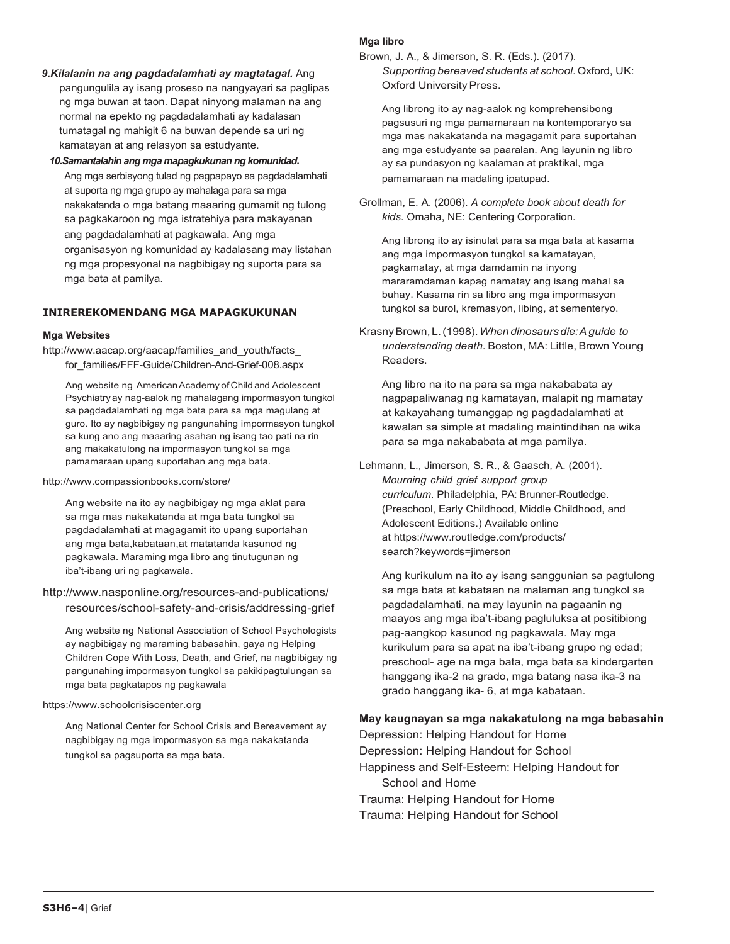- *9.Kilalanin na ang pagdadalamhati ay magtatagal.* Ang pangungulila ay isang proseso na nangyayari sa paglipas ng mga buwan at taon. Dapat ninyong malaman na ang normal na epekto ng pagdadalamhati ay kadalasan tumatagal ng mahigit 6 na buwan depende sa uri ng kamatayan at ang relasyon sa estudyante.
- *10.Samantalahin ang mga mapagkukunan ng komunidad.*  Ang mga serbisyong tulad ng pagpapayo sa pagdadalamhati at suporta ng mga grupo ay mahalaga para sa mga nakakatanda o mga batang maaaring gumamit ng tulong sa pagkakaroon ng mga istratehiya para makayanan ang pagdadalamhati at pagkawala. Ang mga organisasyon ng komunidad ay kadalasang may listahan ng mga propesyonal na nagbibigay ng suporta para sa mga bata at pamilya.

#### **INIREREKOMENDANG MGA MAPAGKUKUNAN**

#### **Mga Websites**

http://www.aacap.org/aacap/families\_and\_youth/facts for families/FFF-Guide/Children-And-Grief-008.aspx

Ang website ng AmericanAcademy ofChild and Adolescent Psychiatryay nag-aalok ng mahalagang impormasyon tungkol sa pagdadalamhati ng mga bata para sa mga magulang at guro. Ito ay nagbibigay ng pangunahing impormasyon tungkol sa kung ano ang maaaring asahan ng isang tao pati na rin ang makakatulong na impormasyon tungkol sa mga pamamaraan upang suportahan ang mga bata.

#### <http://www.compassionbooks.com/store/>

Ang website na ito ay nagbibigay ng mga aklat para sa mga mas nakakatanda at mga bata tungkol sa pagdadalamhati at magagamit ito upang suportahan ang mga bata,kabataan,at matatanda kasunod ng pagkawala. Maraming mga libro ang tinutugunan ng iba't-ibang uri ng pagkawala.

<http://www.nasponline.org/resources-and-publications/> resources/school-safety-and-crisis/addressing-grief

Ang website ng National Association of School Psychologists ay nagbibigay ng maraming babasahin, gaya ng Helping Children Cope With Loss, Death, and Grief, na nagbibigay ng pangunahing impormasyon tungkol sa pakikipagtulungan sa mga bata pagkatapos ng pagkawala

#### h[ttps://www.schoolcrisiscenter.org](http://www.schoolcrisiscenter.org/)

Ang National Center for School Crisis and Bereavement ay nagbibigay ng mga impormasyon sa mga nakakatanda tungkol sa pagsuporta sa mga bata.

#### **Mga libro**

Brown, J. A., & Jimerson, S. R. (Eds.). (2017). *Supporting bereaved students at school*. Oxford, UK: Oxford University Press.

Ang librong ito ay nag-aalok ng komprehensibong pagsusuri ng mga pamamaraan na kontemporaryo sa mga mas nakakatanda na magagamit para suportahan ang mga estudyante sa paaralan. Ang layunin ng libro ay sa pundasyon ng kaalaman at praktikal, mga pamamaraan na madaling ipatupad.

Grollman, E. A. (2006). *A complete book about death for kids*. Omaha, NE: Centering Corporation.

Ang librong ito ay isinulat para sa mga bata at kasama ang mga impormasyon tungkol sa kamatayan, pagkamatay, at mga damdamin na inyong mararamdaman kapag namatay ang isang mahal sa buhay. Kasama rin sa libro ang mga impormasyon tungkol sa burol, kremasyon, libing, at sementeryo.

KrasnyBrown,L.(1998).*When dinosaurs die: A guide to understanding death*. Boston, MA: Little, Brown Young Readers.

Ang libro na ito na para sa mga nakababata ay nagpapaliwanag ng kamatayan, malapit ng mamatay at kakayahang tumanggap ng pagdadalamhati at kawalan sa simple at madaling maintindihan na wika para sa mga nakababata at mga pamilya.

Lehmann, L., Jimerson, S. R., & Gaasch, A. (2001). *Mourning child grief support group curriculum*. Philadelphia, PA: Brunner-Routledge. (Preschool, Early Childhood, Middle Childhood, and Adolescent Editions.) Available online at h[ttps://www.routledge.com/products/](http://www.routledge.com/products/) search?keywords=jimerson

Ang kurikulum na ito ay isang sanggunian sa pagtulong sa mga bata at kabataan na malaman ang tungkol sa pagdadalamhati, na may layunin na pagaanin ng maayos ang mga iba't-ibang pagluluksa at positibiong pag-aangkop kasunod ng pagkawala. May mga kurikulum para sa apat na iba't-ibang grupo ng edad; preschool- age na mga bata, mga bata sa kindergarten hanggang ika-2 na grado, mga batang nasa ika-3 na grado hanggang ika- 6, at mga kabataan.

#### **May kaugnayan sa mga nakakatulong na mga babasahin**

Depression: Helping Handout for Home Depression: Helping Handout for School Happiness and Self-Esteem: Helping Handout for School and Home Trauma: Helping Handout for Home Trauma: Helping Handout for School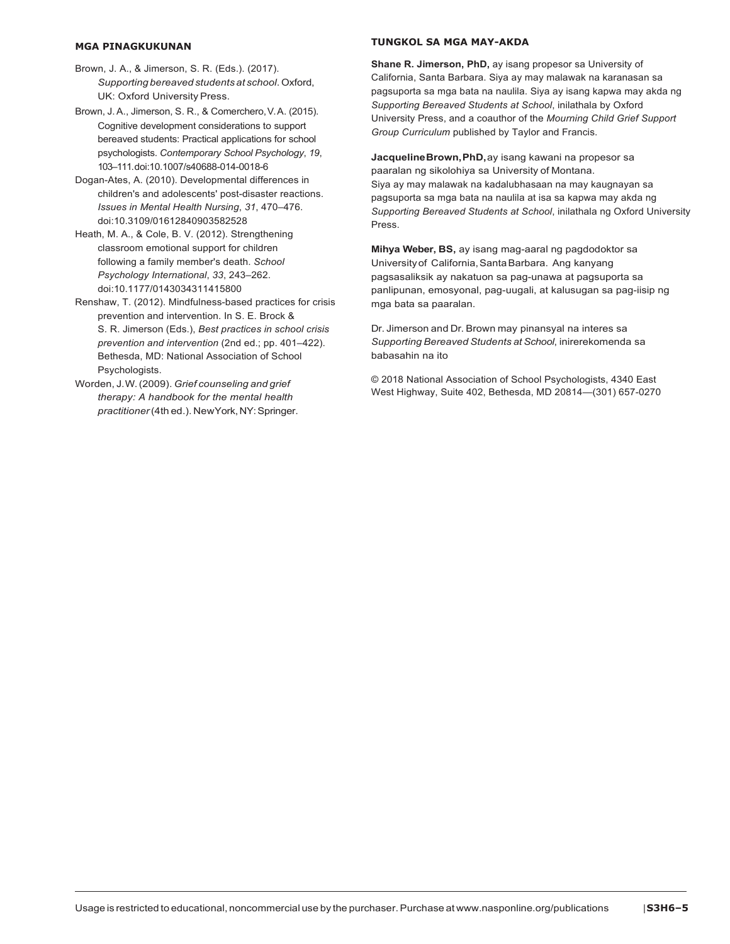#### **MGA PINAGKUKUNAN**

- Brown, J. A., & Jimerson, S. R. (Eds.). (2017). *Supporting bereaved students at school*. Oxford, UK: Oxford University Press.
- Brown, J.A., Jimerson, S.R., & Comerchero, V.A. (2015). Cognitive development considerations to support bereaved students: Practical applications for school psychologists. *Contemporary School Psychology*, *19*, 103–111.doi:10.1007/s40688-014-0018-6
- Dogan-Ates, A. (2010). Developmental differences in children's and adolescents' post-disaster reactions. *Issues in Mental Health Nursing*, *31*, 470–476. doi:10.3109/01612840903582528
- Heath, M. A., & Cole, B. V. (2012). Strengthening classroom emotional support for children following a family member's death. *School Psychology International*, *33*, 243–262. doi:10.1177/0143034311415800
- Renshaw, T. (2012). Mindfulness-based practices for crisis prevention and intervention. In S. E. Brock & S. R. Jimerson (Eds.), *Best practices in school crisis prevention and intervention* (2nd ed.; pp. 401–422). Bethesda, MD: National Association of School Psychologists.
- Worden, J.W.(2009). *Grief counseling and grief therapy: A handbook for the mental health practitioner*(4th ed.). NewYork,NY:Springer.

#### **TUNGKOL SA MGA MAY-AKDA**

**Shane R. Jimerson, PhD,** ay isang propesor sa University of California, Santa Barbara. Siya ay may malawak na karanasan sa pagsuporta sa mga bata na naulila. Siya ay isang kapwa may akda ng *Supporting Bereaved Students at School*, inilathala by Oxford University Press, and a coauthor of the *Mourning Child Grief Support Group Curriculum* published by Taylor and Francis.

**JacquelineBrown,PhD,**ay isang kawani na propesor sa paaralan ng sikolohiya sa University of Montana. Siya ay may malawak na kadalubhasaan na may kaugnayan sa pagsuporta sa mga bata na naulila at isa sa kapwa may akda ng *Supporting Bereaved Students at School*, inilathala ng Oxford University Press.

**Mihya Weber, BS,** ay isang mag-aaral ng pagdodoktor sa University of California, SantaBarbara. Ang kanyang pagsasaliksik ay nakatuon sa pag-unawa at pagsuporta sa panlipunan, emosyonal, pag-uugali, at kalusugan sa pag-iisip ng mga bata sa paaralan.

Dr. Jimerson and Dr. Brown may pinansyal na interes sa *Supporting Bereaved Students at School*, inirerekomenda sa babasahin na ito

© 2018 National Association of School Psychologists, 4340 East West Highway, Suite 402, Bethesda, MD 20814—(301) 657-0270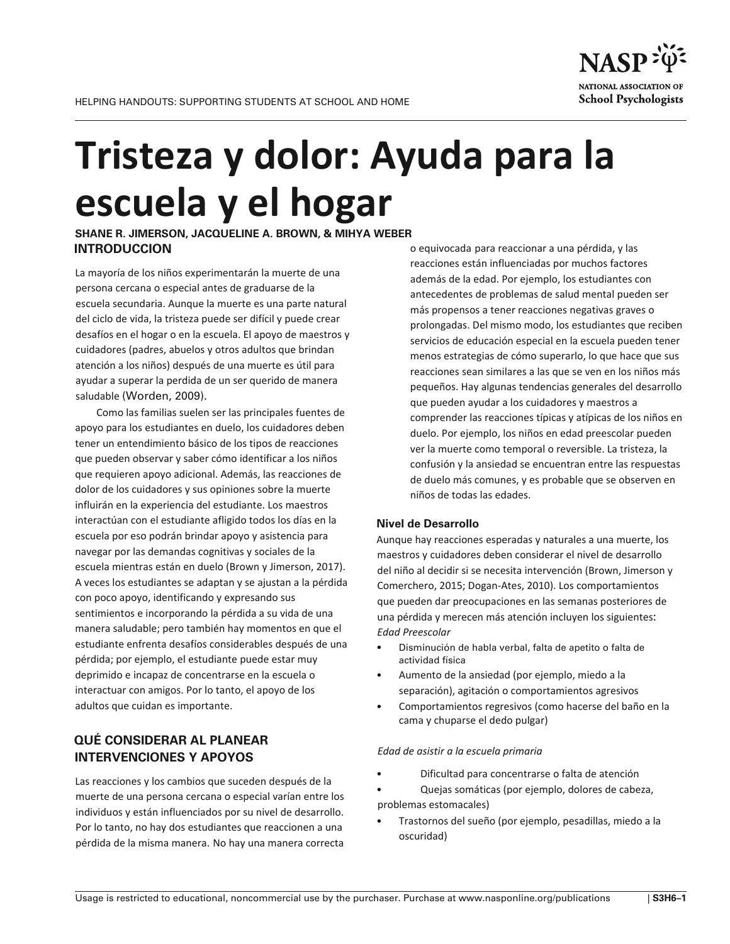# **Tristeza y dolor: Ayuda para la escuela y el hogar**

**SHANE R. JIMERSON, JACQUELINE A. BROWN, & MIHYA WEBER INTRODUCCION**

La mayoría de los niños experimentarán la muerte de una persona cercana o especial antes de graduarse de la escuela secundaria. Aunque la muerte es una parte natural del ciclo de vida, la tristeza puede ser difícil y puede crear desafíos en el hogar o en la escuela. El apoyo de maestros y cuidadores (padres, abuelos y otros adultos que brindan atención a los niños) después de una muerte es útil para ayudar a superar la perdida de un ser querido de manera saludable (Worden, 2009).

Como las familias suelen ser las principales fuentes de apoyo para los estudiantes en duelo, los cuidadores deben tener un entendimiento básico de los tipos de reacciones que pueden observar y saber cómo identificar a los niños que requieren apoyo adicional. Además, las reacciones de dolor de los cuidadores y sus opiniones sobre la muerte influirán en la experiencia del estudiante. Los maestros interactúan con el estudiante afligido todos los días en la escuela por eso podrán brindar apoyo y asistencia para navegar por las demandas cognitivas y sociales de la escuela mientras están en duelo (Brown y Jimerson, 2017). A veces los estudiantes se adaptan y se ajustan a la pérdida con poco apoyo, identificando y expresando sus sentimientos e incorporando la pérdida a su vida de una manera saludable; pero también hay momentos en que el estudiante enfrenta desafíos considerables después de una pérdida; por ejemplo, el estudiante puede estar muy deprimido e incapaz de concentrarse en la escuela o interactuar con amigos. Por lo tanto, el apoyo de los adultos que cuidan es importante.

# **QUÉ CONSIDERAR AL PLANEAR INTERVENCIONES Y APOYOS**

Las reacciones y los cambios que suceden después de la muerte de una persona cercana o especial varían entre los individuos y están influenciados por su nivel de desarrollo. Por lo tanto, no hay dos estudiantes que reaccionen a una pérdida de la misma manera. No hay una manera correcta

o equivocada para reaccionar a una pérdida, y las reacciones están influenciadas por muchos factores además de la edad. Por ejemplo, los estudiantes con antecedentes de problemas de salud mental pueden ser más propensos a tener reacciones negativas graves o prolongadas. Del mismo modo, los estudiantes que reciben servicios de educación especial en la escuela pueden tener menos estrategias de cómo superarlo, lo que hace que sus reacciones sean similares a las que se ven en los niños más pequeños. Hay algunas tendencias generales del desarrollo que pueden ayudar a los cuidadores y maestros a comprender las reacciones típicas y atípicas de los niños en duelo. Por ejemplo, los niños en edad preescolar pueden ver la muerte como temporal o reversible. La tristeza, la confusión y la ansiedad se encuentran entre las respuestas de duelo más comunes, y es probable que se observen en niños de todas las edades.

#### **Nivel de Desarrollo**

Aunque hay reacciones esperadas y naturales a una muerte, los maestros y cuidadores deben considerar el nivel de desarrollo del niño al decidir si se necesita intervención (Brown, Jimerson y Comerchero, 2015; Dogan-Ates, 2010). Los comportamientos que pueden dar preocupaciones en las semanas posteriores de una pérdida y merecen más atención incluyen los siguientes: *Edad Preescolar*

- Disminución de habla verbal, falta de apetito o falta de actividad física
- Aumento de la ansiedad (por ejemplo, miedo a la separación), agitación o comportamientos agresivos
- Comportamientos regresivos (como hacerse del baño en la cama y chuparse el dedo pulgar)

#### *Edad de asistir a la escuela primaria*

- Dificultad para concentrarse o falta de atención
- Quejas somáticas (por ejemplo, dolores de cabeza, problemas estomacales)
- Trastornos del sueño (por ejemplo, pesadillas, miedo a la oscuridad)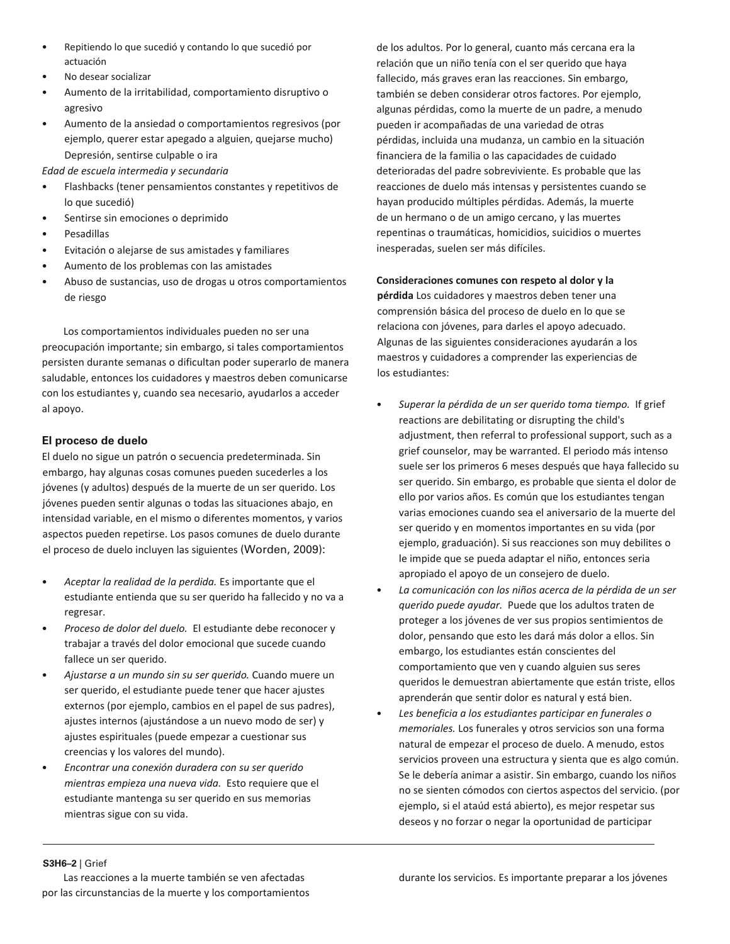- Repitiendo lo que sucedió y contando lo que sucedió por actuación
- No desear socializar
- Aumento de la irritabilidad, comportamiento disruptivo o agresivo
- Aumento de la ansiedad o comportamientos regresivos (por ejemplo, querer estar apegado a alguien, quejarse mucho) Depresión, sentirse culpable o ira

*Edad de escuela intermedia y secundaria*

- Flashbacks (tener pensamientos constantes y repetitivos de lo que sucedió)
- Sentirse sin emociones o deprimido
- Pesadillas
- Evitación o alejarse de sus amistades y familiares
- Aumento de los problemas con las amistades
- Abuso de sustancias, uso de drogas u otros comportamientos de riesgo

Los comportamientos individuales pueden no ser una preocupación importante; sin embargo, si tales comportamientos persisten durante semanas o dificultan poder superarlo de manera saludable, entonces los cuidadores y maestros deben comunicarse con los estudiantes y, cuando sea necesario, ayudarlos a acceder al apoyo.

### **El proceso de duelo**

El duelo no sigue un patrón o secuencia predeterminada. Sin embargo, hay algunas cosas comunes pueden sucederles a los jóvenes (y adultos) después de la muerte de un ser querido. Los jóvenes pueden sentir algunas o todas las situaciones abajo, en intensidad variable, en el mismo o diferentes momentos, y varios aspectos pueden repetirse. Los pasos comunes de duelo durante el proceso de duelo incluyen las siguientes (Worden, 2009):

- *Aceptar la realidad de la perdida.* Es importante que el estudiante entienda que su ser querido ha fallecido y no va a regresar.
- *Proceso de dolor del duelo.* El estudiante debe reconocer y trabajar a través del dolor emocional que sucede cuando fallece un ser querido.
- *Ajustarse a un mundo sin su ser querido.* Cuando muere un ser querido, el estudiante puede tener que hacer ajustes externos (por ejemplo, cambios en el papel de sus padres), ajustes internos (ajustándose a un nuevo modo de ser) y ajustes espirituales (puede empezar a cuestionar sus creencias y los valores del mundo).
- *Encontrar una conexión duradera con su ser querido mientras empieza una nueva vida.* Esto requiere que el estudiante mantenga su ser querido en sus memorias mientras sigue con su vida.

de los adultos. Por lo general, cuanto más cercana era la relación que un niño tenía con el ser querido que haya fallecido, más graves eran las reacciones. Sin embargo, también se deben considerar otros factores. Por ejemplo, algunas pérdidas, como la muerte de un padre, a menudo pueden ir acompañadas de una variedad de otras pérdidas, incluida una mudanza, un cambio en la situación financiera de la familia o las capacidades de cuidado deterioradas del padre sobreviviente. Es probable que las reacciones de duelo más intensas y persistentes cuando se hayan producido múltiples pérdidas. Además, la muerte de un hermano o de un amigo cercano, y las muertes repentinas o traumáticas, homicidios, suicidios o muertes inesperadas, suelen ser más difíciles.

#### **Consideraciones comunes con respeto al dolor y la**

**pérdida** Los cuidadores y maestros deben tener una comprensión básica del proceso de duelo en lo que se relaciona con jóvenes, para darles el apoyo adecuado. Algunas de las siguientes consideraciones ayudarán a los maestros y cuidadores a comprender las experiencias de los estudiantes:

- *Superar la pérdida de un ser querido toma tiempo.* If grief reactions are debilitating or disrupting the child's adjustment, then referral to professional support, such as a grief counselor, may be warranted. El periodo más intenso suele ser los primeros 6 meses después que haya fallecido su ser querido. Sin embargo, es probable que sienta el dolor de ello por varios años. Es común que los estudiantes tengan varias emociones cuando sea el aniversario de la muerte del ser querido y en momentos importantes en su vida (por ejemplo, graduación). Si sus reacciones son muy debilites o le impide que se pueda adaptar el niño, entonces seria apropiado el apoyo de un consejero de duelo.
- *La comunicación con los niños acerca de la pérdida de un ser querido puede ayudar.* Puede que los adultos traten de proteger a los jóvenes de ver sus propios sentimientos de dolor, pensando que esto les dará más dolor a ellos. Sin embargo, los estudiantes están conscientes del comportamiento que ven y cuando alguien sus seres queridos le demuestran abiertamente que están triste, ellos aprenderán que sentir dolor es natural y está bien.
- *Les beneficia a los estudiantes participar en funerales o memoriales.* Los funerales y otros servicios son una forma natural de empezar el proceso de duelo. A menudo, estos servicios proveen una estructura y sienta que es algo común. Se le debería animar a asistir. Sin embargo, cuando los niños no se sienten cómodos con ciertos aspectos del servicio. (por ejemplo, si el ataúd está abierto), es mejor respetar sus deseos y no forzar o negar la oportunidad de participar

#### **S3H6–2** | Grief

Las reacciones a la muerte también se ven afectadas por las circunstancias de la muerte y los comportamientos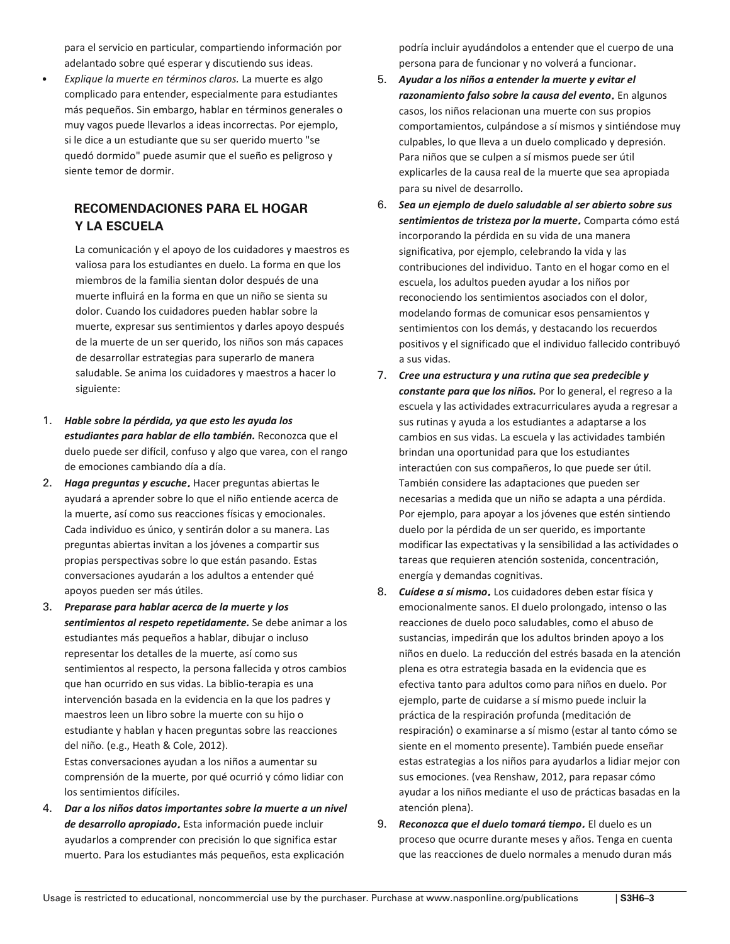adelantado sobre qué esperar y discutiendo sus ideas. • *Explique la muerte en términos claros.* La muerte es algo complicado para entender, especialmente para estudiantes más pequeños. Sin embargo, hablar en términos generales o muy vagos puede llevarlos a ideas incorrectas. Por ejemplo, si le dice a un estudiante que su ser querido muerto "se quedó dormido" puede asumir que el sueño es peligroso y siente temor de dormir.

para el servicio en particular, compartiendo información por

# **RECOMENDACIONES PARA EL HOGAR Y LA ESCUELA**

La comunicación y el apoyo de los cuidadores y maestros es valiosa para los estudiantes en duelo. La forma en que los miembros de la familia sientan dolor después de una muerte influirá en la forma en que un niño se sienta su dolor. Cuando los cuidadores pueden hablar sobre la muerte, expresar sus sentimientos y darles apoyo después de la muerte de un ser querido, los niños son más capaces de desarrollar estrategias para superarlo de manera saludable. Se anima los cuidadores y maestros a hacer lo siguiente:

- 1. *Hable sobre la pérdida, ya que esto les ayuda los estudiantes para hablar de ello también.* Reconozca que el duelo puede ser difícil, confuso y algo que varea, con el rango de emociones cambiando día a día.
- 2. *Haga preguntas y escuche*. Hacer preguntas abiertas le ayudará a aprender sobre lo que el niño entiende acerca de la muerte, así como sus reacciones físicas y emocionales. Cada individuo es único, y sentirán dolor a su manera. Las preguntas abiertas invitan a los jóvenes a compartir sus propias perspectivas sobre lo que están pasando. Estas conversaciones ayudarán a los adultos a entender qué apoyos pueden ser más útiles.
- 3. *Preparase para hablar acerca de la muerte y los sentimientos al respeto repetidamente.* Se debe animar a los estudiantes más pequeños a hablar, dibujar o incluso representar los detalles de la muerte, así como sus sentimientos al respecto, la persona fallecida y otros cambios que han ocurrido en sus vidas. La biblio-terapia es una intervención basada en la evidencia en la que los padres y maestros leen un libro sobre la muerte con su hijo o estudiante y hablan y hacen preguntas sobre las reacciones del niño. (e.g., Heath & Cole, 2012). Estas conversaciones ayudan a los niños a aumentar su comprensión de la muerte, por qué ocurrió y cómo lidiar con los sentimientos difíciles.
- 4. *Dar a los niños datos importantes sobre la muerte a un nivel de desarrollo apropiado*. Esta información puede incluir ayudarlos a comprender con precisión lo que significa estar muerto. Para los estudiantes más pequeños, esta explicación

podría incluir ayudándolos a entender que el cuerpo de una persona para de funcionar y no volverá a funcionar.

- 5. *Ayudar a los niños a entender la muerte y evitar el razonamiento falso sobre la causa del evento*. En algunos casos, los niños relacionan una muerte con sus propios comportamientos, culpándose a sí mismos y sintiéndose muy culpables, lo que lleva a un duelo complicado y depresión. Para niños que se culpen a sí mismos puede ser útil explicarles de la causa real de la muerte que sea apropiada para su nivel de desarrollo.
- 6. *Sea un ejemplo de duelo saludable al ser abierto sobre sus sentimientos de tristeza por la muerte*. Comparta cómo está incorporando la pérdida en su vida de una manera significativa, por ejemplo, celebrando la vida y las contribuciones del individuo. Tanto en el hogar como en el escuela, los adultos pueden ayudar a los niños por reconociendo los sentimientos asociados con el dolor, modelando formas de comunicar esos pensamientos y sentimientos con los demás, y destacando los recuerdos positivos y el significado que el individuo fallecido contribuyó a sus vidas.
- 7. *Cree una estructura y una rutina que sea predecible y constante para que los niños.* Por lo general, el regreso a la escuela y las actividades extracurriculares ayuda a regresar a sus rutinas y ayuda a los estudiantes a adaptarse a los cambios en sus vidas. La escuela y las actividades también brindan una oportunidad para que los estudiantes interactúen con sus compañeros, lo que puede ser útil. También considere las adaptaciones que pueden ser necesarias a medida que un niño se adapta a una pérdida. Por ejemplo, para apoyar a los jóvenes que estén sintiendo duelo por la pérdida de un ser querido, es importante modificar las expectativas y la sensibilidad a las actividades o tareas que requieren atención sostenida, concentración, energía y demandas cognitivas.
- 8. *Cuídese a sí mismo*. Los cuidadores deben estar física y emocionalmente sanos. El duelo prolongado, intenso o las reacciones de duelo poco saludables, como el abuso de sustancias, impedirán que los adultos brinden apoyo a los niños en duelo. La reducción del estrés basada en la atención plena es otra estrategia basada en la evidencia que es efectiva tanto para adultos como para niños en duelo. Por ejemplo, parte de cuidarse a sí mismo puede incluir la práctica de la respiración profunda (meditación de respiración) o examinarse a sí mismo (estar al tanto cómo se siente en el momento presente). También puede enseñar estas estrategias a los niños para ayudarlos a lidiar mejor con sus emociones. (vea Renshaw, 2012, para repasar cómo ayudar a los niños mediante el uso de prácticas basadas en la atención plena).
- 9. *Reconozca que el duelo tomará tiempo*. El duelo es un proceso que ocurre durante meses y años. Tenga en cuenta que las reacciones de duelo normales a menudo duran más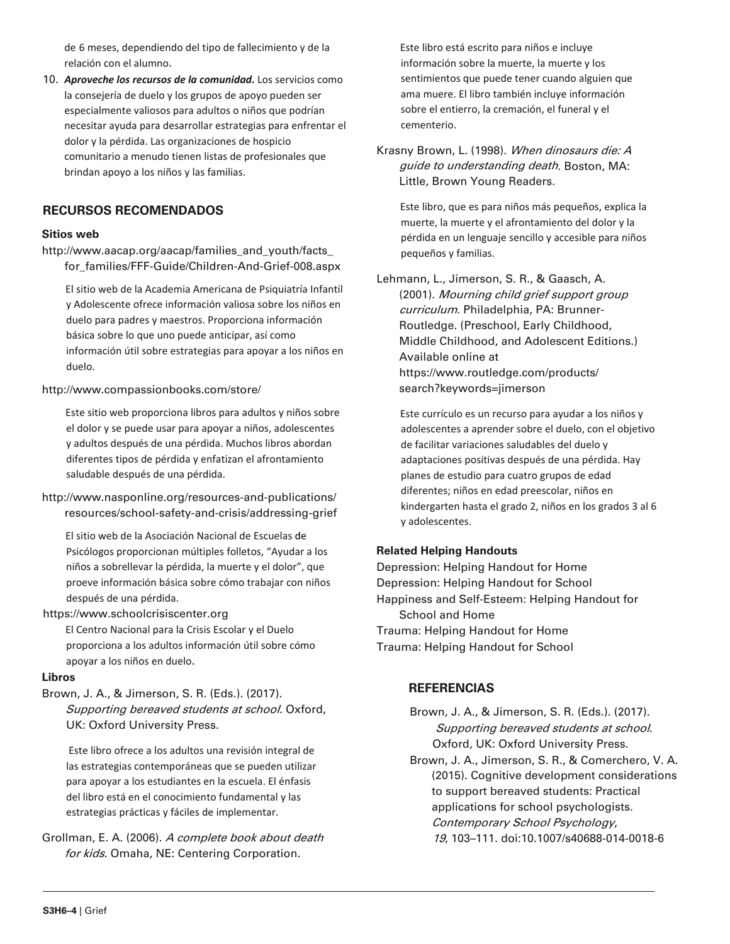de 6 meses, dependiendo del tipo de fallecimiento y de la relación con el alumno.

10. *Aproveche los recursos de la comunidad.* Los servicios como la consejería de duelo y los grupos de apoyo pueden ser especialmente valiosos para adultos o niños que podrían necesitar ayuda para desarrollar estrategias para enfrentar el dolor y la pérdida. Las organizaciones de hospicio comunitario a menudo tienen listas de profesionales que brindan apoyo a los niños y las familias.

# **RECURSOS RECOMENDADOS**

#### **Sitios web**

http://www.aacap.org/aacap/families\_and\_youth/facts\_ for\_families/FFF-Guide/Children-And-Grief-008.aspx

El sitio web de la Academia Americana de Psiquiatría Infantil y Adolescente ofrece información valiosa sobre los niños en duelo para padres y maestros. Proporciona información básica sobre lo que uno puede anticipar, así como información útil sobre estrategias para apoyar a los niños en duelo.

#### http://www.compassionbooks.com/store/

Este sitio web proporciona libros para adultos y niños sobre el dolor y se puede usar para apoyar a niños, adolescentes y adultos después de una pérdida. Muchos libros abordan diferentes tipos de pérdida y enfatizan el afrontamiento saludable después de una pérdida.

http://www.nasponline.org/resources-and-publications/ resources/school-safety-and-crisis/addressing-grief

El sitio web de la Asociación Nacional de Escuelas de Psicólogos proporcionan múltiples folletos, "Ayudar a los niños a sobrellevar la pérdida, la muerte y el dolor", que proeve información básica sobre cómo trabajar con niños después de una pérdida.

#### https://www.schoolcrisiscenter.org

El Centro Nacional para la Crisis Escolar y el Duelo proporciona a los adultos información útil sobre cómo apoyar a los niños en duelo.

#### **Libros**

Brown, J. A., & Jimerson, S. R. (Eds.). (2017). Supporting bereaved students at school. Oxford, UK: Oxford University Press.

Este libro ofrece a los adultos una revisión integral de las estrategias contemporáneas que se pueden utilizar para apoyar a los estudiantes en la escuela. El énfasis del libro está en el conocimiento fundamental y las estrategias prácticas y fáciles de implementar.

Grollman, E. A. (2006). A complete book about death for kids. Omaha, NE: Centering Corporation.

Este libro está escrito para niños e incluye información sobre la muerte, la muerte y los sentimientos que puede tener cuando alguien que ama muere. El libro también incluye información sobre el entierro, la cremación, el funeral y el cementerio.

Krasny Brown, L. (1998). When dinosaurs die: A guide to understanding death. Boston, MA: Little, Brown Young Readers.

Este libro, que es para niños más pequeños, explica la muerte, la muerte y el afrontamiento del dolor y la pérdida en un lenguaje sencillo y accesible para niños pequeños y familias.

Lehmann, L., Jimerson, S. R., & Gaasch, A. (2001). Mourning child grief support group curriculum. Philadelphia, PA: Brunner-Routledge. (Preschool, Early Childhood, Middle Childhood, and Adolescent Editions.) Available online at https://www.routledge.com/products/ search?keywords=jimerson

Este currículo es un recurso para ayudar a los niños y adolescentes a aprender sobre el duelo, con el objetivo de facilitar variaciones saludables del duelo y adaptaciones positivas después de una pérdida. Hay planes de estudio para cuatro grupos de edad diferentes; niños en edad preescolar, niños en kindergarten hasta el grado 2, niños en los grados 3 al 6 y adolescentes.

#### **Related Helping Handouts**

Depression: Helping Handout for Home Depression: Helping Handout for School Happiness and Self-Esteem: Helping Handout for School and Home Trauma: Helping Handout for Home Trauma: Helping Handout for School

# **REFERENCIAS**

Brown, J. A., & Jimerson, S. R. (Eds.). (2017). Supporting bereaved students at school. Oxford, UK: Oxford University Press.

Brown, J. A., Jimerson, S. R., & Comerchero, V. A. (2015). Cognitive development considerations to support bereaved students: Practical applications for school psychologists. Contemporary School Psychology, 19, 103–111. doi:10.1007/s40688-014-0018-6